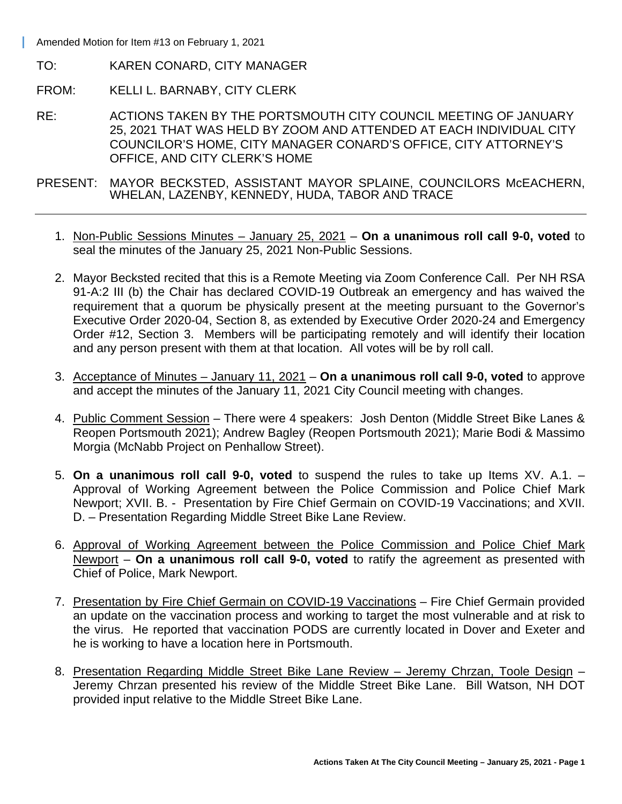Amended Motion for Item #13 on February 1, 2021

- TO: KAREN CONARD, CITY MANAGER
- FROM: KELLI L. BARNABY, CITY CLERK
- RE: ACTIONS TAKEN BY THE PORTSMOUTH CITY COUNCIL MEETING OF JANUARY 25, 2021 THAT WAS HELD BY ZOOM AND ATTENDED AT EACH INDIVIDUAL CITY COUNCILOR'S HOME, CITY MANAGER CONARD'S OFFICE, CITY ATTORNEY'S OFFICE, AND CITY CLERK'S HOME
- PRESENT: MAYOR BECKSTED, ASSISTANT MAYOR SPLAINE, COUNCILORS McEACHERN, WHELAN, LAZENBY, KENNEDY, HUDA, TABOR AND TRACE
	- 1. Non-Public Sessions Minutes January 25, 2021 **On a unanimous roll call 9-0, voted** to seal the minutes of the January 25, 2021 Non-Public Sessions.
	- 2. Mayor Becksted recited that this is a Remote Meeting via Zoom Conference Call. Per NH RSA 91-A:2 III (b) the Chair has declared COVID-19 Outbreak an emergency and has waived the requirement that a quorum be physically present at the meeting pursuant to the Governor's Executive Order 2020-04, Section 8, as extended by Executive Order 2020-24 and Emergency Order #12, Section 3. Members will be participating remotely and will identify their location and any person present with them at that location. All votes will be by roll call.
	- 3. Acceptance of Minutes January 11, 2021 **On a unanimous roll call 9-0, voted** to approve and accept the minutes of the January 11, 2021 City Council meeting with changes.
	- 4. Public Comment Session There were 4 speakers: Josh Denton (Middle Street Bike Lanes & Reopen Portsmouth 2021); Andrew Bagley (Reopen Portsmouth 2021); Marie Bodi & Massimo Morgia (McNabb Project on Penhallow Street).
	- 5. **On a unanimous roll call 9-0, voted** to suspend the rules to take up Items XV. A.1. Approval of Working Agreement between the Police Commission and Police Chief Mark Newport; XVII. B. - Presentation by Fire Chief Germain on COVID-19 Vaccinations; and XVII. D. – Presentation Regarding Middle Street Bike Lane Review.
	- 6. Approval of Working Agreement between the Police Commission and Police Chief Mark Newport – **On a unanimous roll call 9-0, voted** to ratify the agreement as presented with Chief of Police, Mark Newport.
	- 7. Presentation by Fire Chief Germain on COVID-19 Vaccinations Fire Chief Germain provided an update on the vaccination process and working to target the most vulnerable and at risk to the virus. He reported that vaccination PODS are currently located in Dover and Exeter and he is working to have a location here in Portsmouth.
	- 8. Presentation Regarding Middle Street Bike Lane Review Jeremy Chrzan, Toole Design Jeremy Chrzan presented his review of the Middle Street Bike Lane. Bill Watson, NH DOT provided input relative to the Middle Street Bike Lane.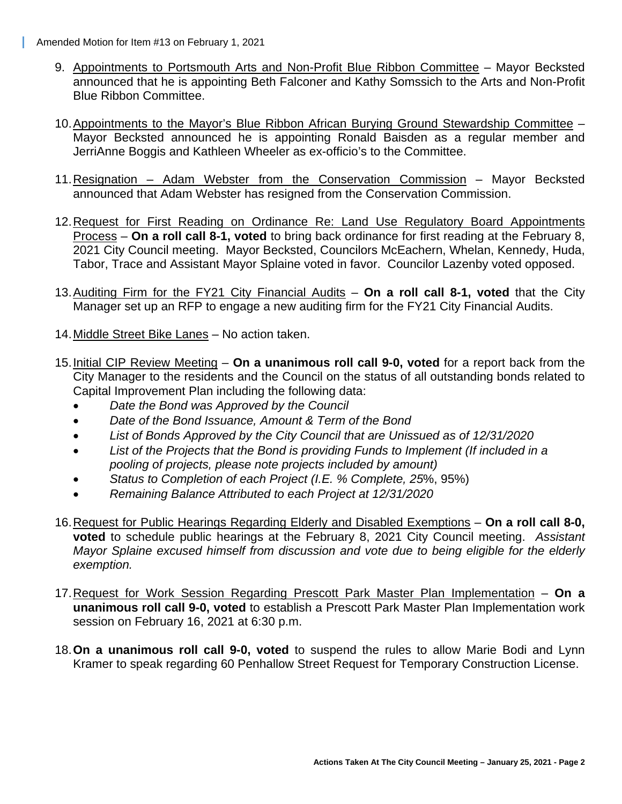Amended Motion for Item #13 on February 1, 2021

- 9. Appointments to Portsmouth Arts and Non-Profit Blue Ribbon Committee Mayor Becksted announced that he is appointing Beth Falconer and Kathy Somssich to the Arts and Non-Profit Blue Ribbon Committee.
- 10. Appointments to the Mayor's Blue Ribbon African Burying Ground Stewardship Committee Mayor Becksted announced he is appointing Ronald Baisden as a regular member and JerriAnne Boggis and Kathleen Wheeler as ex-officio's to the Committee.
- 11. Resignation Adam Webster from the Conservation Commission Mayor Becksted announced that Adam Webster has resigned from the Conservation Commission.
- 12. Request for First Reading on Ordinance Re: Land Use Regulatory Board Appointments Process – **On a roll call 8-1, voted** to bring back ordinance for first reading at the February 8, 2021 City Council meeting. Mayor Becksted, Councilors McEachern, Whelan, Kennedy, Huda, Tabor, Trace and Assistant Mayor Splaine voted in favor. Councilor Lazenby voted opposed.
- 13. Auditing Firm for the FY21 City Financial Audits **On a roll call 8-1, voted** that the City Manager set up an RFP to engage a new auditing firm for the FY21 City Financial Audits.
- 14. Middle Street Bike Lanes No action taken.
- 15. Initial CIP Review Meeting **On a unanimous roll call 9-0, voted** for a report back from the City Manager to the residents and the Council on the status of all outstanding bonds related to Capital Improvement Plan including the following data:
	- *Date the Bond was Approved by the Council*
	- *Date of the Bond Issuance, Amount & Term of the Bond*
	- *List of Bonds Approved by the City Council that are Unissued as of 12/31/2020*
	- *List of the Projects that the Bond is providing Funds to Implement (If included in a pooling of projects, please note projects included by amount)*
	- *Status to Completion of each Project (I.E. % Complete, 25*%, 95%)
	- *Remaining Balance Attributed to each Project at 12/31/2020*
- 16. Request for Public Hearings Regarding Elderly and Disabled Exemptions **On a roll call 8-0, voted** to schedule public hearings at the February 8, 2021 City Council meeting. *Assistant Mayor Splaine excused himself from discussion and vote due to being eligible for the elderly exemption.*
- 17. Request for Work Session Regarding Prescott Park Master Plan Implementation **On a unanimous roll call 9-0, voted** to establish a Prescott Park Master Plan Implementation work session on February 16, 2021 at 6:30 p.m.
- 18. **On a unanimous roll call 9-0, voted** to suspend the rules to allow Marie Bodi and Lynn Kramer to speak regarding 60 Penhallow Street Request for Temporary Construction License.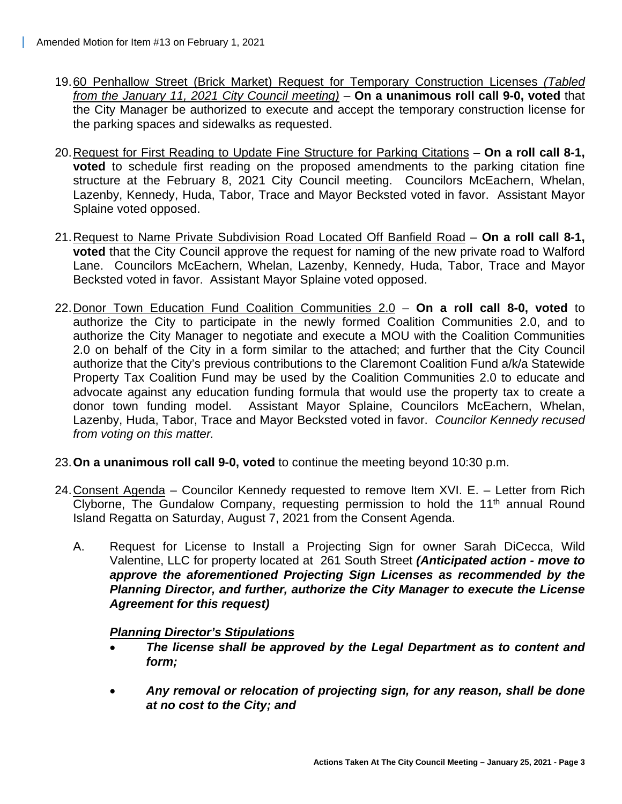- 19. 60 Penhallow Street (Brick Market) Request for Temporary Construction Licenses *(Tabled from the January 11, 2021 City Council meeting)* – **On a unanimous roll call 9-0, voted** that the City Manager be authorized to execute and accept the temporary construction license for the parking spaces and sidewalks as requested.
- 20. Request for First Reading to Update Fine Structure for Parking Citations **On a roll call 8-1, voted** to schedule first reading on the proposed amendments to the parking citation fine structure at the February 8, 2021 City Council meeting. Councilors McEachern, Whelan, Lazenby, Kennedy, Huda, Tabor, Trace and Mayor Becksted voted in favor. Assistant Mayor Splaine voted opposed.
- 21. Request to Name Private Subdivision Road Located Off Banfield Road **On a roll call 8-1, voted** that the City Council approve the request for naming of the new private road to Walford Lane. Councilors McEachern, Whelan, Lazenby, Kennedy, Huda, Tabor, Trace and Mayor Becksted voted in favor. Assistant Mayor Splaine voted opposed.
- 22. Donor Town Education Fund Coalition Communities 2.0 **On a roll call 8-0, voted** to authorize the City to participate in the newly formed Coalition Communities 2.0, and to authorize the City Manager to negotiate and execute a MOU with the Coalition Communities 2.0 on behalf of the City in a form similar to the attached; and further that the City Council authorize that the City's previous contributions to the Claremont Coalition Fund a/k/a Statewide Property Tax Coalition Fund may be used by the Coalition Communities 2.0 to educate and advocate against any education funding formula that would use the property tax to create a donor town funding model. Assistant Mayor Splaine, Councilors McEachern, Whelan, Lazenby, Huda, Tabor, Trace and Mayor Becksted voted in favor. *Councilor Kennedy recused from voting on this matter.*
- 23. **On a unanimous roll call 9-0, voted** to continue the meeting beyond 10:30 p.m.
- 24. Consent Agenda Councilor Kennedy requested to remove Item XVI. E. Letter from Rich Clyborne, The Gundalow Company, requesting permission to hold the  $11<sup>th</sup>$  annual Round Island Regatta on Saturday, August 7, 2021 from the Consent Agenda.
	- A. Request for License to Install a Projecting Sign for owner Sarah DiCecca, Wild Valentine, LLC for property located at 261 South Street *(Anticipated action - move to approve the aforementioned Projecting Sign Licenses as recommended by the Planning Director, and further, authorize the City Manager to execute the License Agreement for this request)*

## *Planning Director's Stipulations*

- *The license shall be approved by the Legal Department as to content and form;*
- *Any removal or relocation of projecting sign, for any reason, shall be done at no cost to the City; and*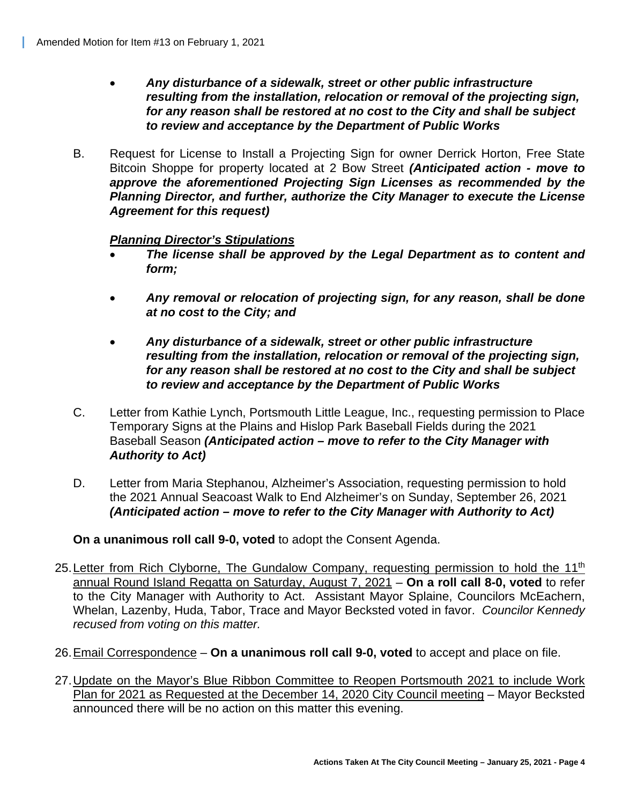- *Any disturbance of a sidewalk, street or other public infrastructure resulting from the installation, relocation or removal of the projecting sign, for any reason shall be restored at no cost to the City and shall be subject to review and acceptance by the Department of Public Works*
- B. Request for License to Install a Projecting Sign for owner Derrick Horton, Free State Bitcoin Shoppe for property located at 2 Bow Street *(Anticipated action - move to approve the aforementioned Projecting Sign Licenses as recommended by the Planning Director, and further, authorize the City Manager to execute the License Agreement for this request)*

## *Planning Director's Stipulations*

- *The license shall be approved by the Legal Department as to content and form;*
- *Any removal or relocation of projecting sign, for any reason, shall be done at no cost to the City; and*
- *Any disturbance of a sidewalk, street or other public infrastructure resulting from the installation, relocation or removal of the projecting sign, for any reason shall be restored at no cost to the City and shall be subject to review and acceptance by the Department of Public Works*
- C. Letter from Kathie Lynch, Portsmouth Little League, Inc., requesting permission to Place Temporary Signs at the Plains and Hislop Park Baseball Fields during the 2021 Baseball Season *(Anticipated action – move to refer to the City Manager with Authority to Act)*
- D. Letter from Maria Stephanou, Alzheimer's Association, requesting permission to hold the 2021 Annual Seacoast Walk to End Alzheimer's on Sunday, September 26, 2021 *(Anticipated action – move to refer to the City Manager with Authority to Act)*

**On a unanimous roll call 9-0, voted** to adopt the Consent Agenda.

- 25. Letter from Rich Clyborne, The Gundalow Company, requesting permission to hold the 11<sup>th</sup> annual Round Island Regatta on Saturday, August 7, 2021 – **On a roll call 8-0, voted** to refer to the City Manager with Authority to Act. Assistant Mayor Splaine, Councilors McEachern, Whelan, Lazenby, Huda, Tabor, Trace and Mayor Becksted voted in favor. *Councilor Kennedy recused from voting on this matter.*
- 26. Email Correspondence **On a unanimous roll call 9-0, voted** to accept and place on file.
- 27. Update on the Mayor's Blue Ribbon Committee to Reopen Portsmouth 2021 to include Work Plan for 2021 as Requested at the December 14, 2020 City Council meeting – Mayor Becksted announced there will be no action on this matter this evening.